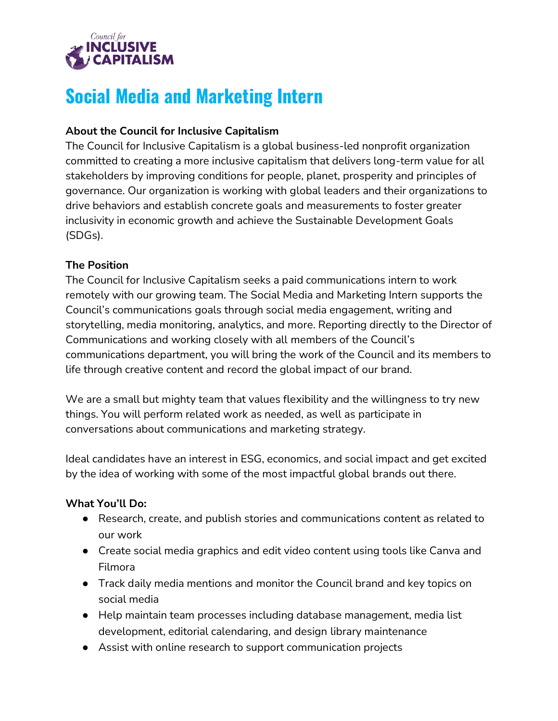

# **Social Media and Marketing Intern**

## **About the Council for Inclusive Capitalism**

The Council for Inclusive Capitalism is a global business-led nonprofit organization committed to creating a more inclusive capitalism that delivers long-term value for all stakeholders by improving conditions for people, planet, prosperity and principles of governance. Our organization is working with global leaders and their organizations to drive behaviors and establish concrete goals and measurements to foster greater inclusivity in economic growth and achieve the Sustainable Development Goals (SDGs).

## **The Position**

The Council for Inclusive Capitalism seeks a paid communications intern to work remotely with our growing team. The Social Media and Marketing Intern supports the Council's communications goals through social media engagement, writing and storytelling, media monitoring, analytics, and more. Reporting directly to the Director of Communications and working closely with all members of the Council's communications department, you will bring the work of the Council and its members to life through creative content and record the global impact of our brand.

We are a small but mighty team that values flexibility and the willingness to try new things. You will perform related work as needed, as well as participate in conversations about communications and marketing strategy.

Ideal candidates have an interest in ESG, economics, and social impact and get excited by the idea of working with some of the most impactful global brands out there.

### **What You'll Do:**

- Research, create, and publish stories and communications content as related to our work
- Create social media graphics and edit video content using tools like Canva and Filmora
- Track daily media mentions and monitor the Council brand and key topics on social media
- Help maintain team processes including database management, media list development, editorial calendaring, and design library maintenance
- Assist with online research to support communication projects